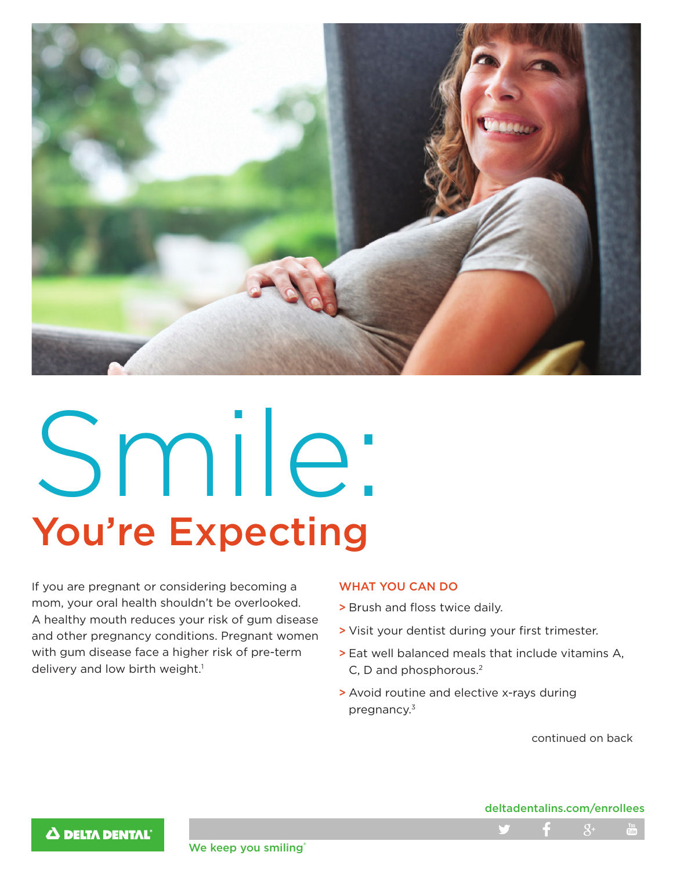

# Smile: You're Expecting

If you are pregnant or considering becoming a mom, your oral health shouldn't be overlooked. A healthy mouth reduces your risk of gum disease and other pregnancy conditions. Pregnant women with gum disease face a higher risk of pre-term delivery and low birth weight.<sup>1</sup>

# WHAT YOU CAN DO

- > Brush and floss twice daily.
- > Visit your dentist during your first trimester.
- > Eat well balanced meals that include vitamins A, C, D and phosphorous.2
- > Avoid routine and elective x-rays during pregnancy.3

continued on back

### deltadentalins.com/enrollees



We keep you smiling®